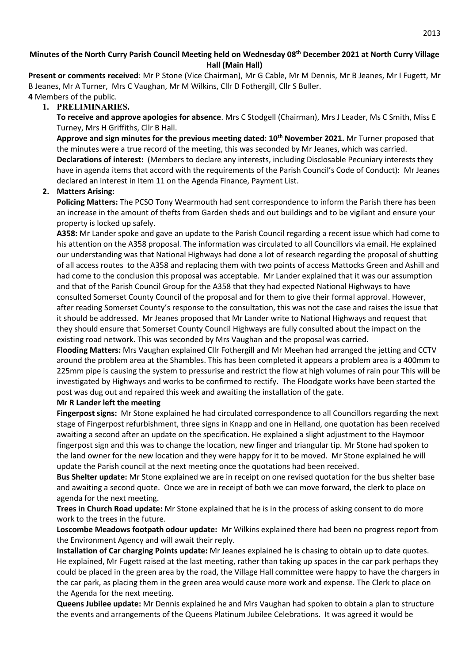## **Minutes of the North Curry Parish Council Meeting held on Wednesday 08th December 2021 at North Curry Village Hall (Main Hall)**

**Present or comments received**: Mr P Stone (Vice Chairman), Mr G Cable, Mr M Dennis, Mr B Jeanes, Mr I Fugett, Mr B Jeanes, Mr A Turner, Mrs C Vaughan, Mr M Wilkins, Cllr D Fothergill, Cllr S Buller. **4** Members of the public.

## **1. PRELIMINARIES.**

**To receive and approve apologies for absence**. Mrs C Stodgell (Chairman), Mrs J Leader, Ms C Smith, Miss E Turney, Mrs H Griffiths, Cllr B Hall.

**Approve and sign minutes for the previous meeting dated: 10th November 2021.** Mr Turner proposed that the minutes were a true record of the meeting, this was seconded by Mr Jeanes, which was carried. **Declarations of interest:** (Members to declare any interests, including Disclosable Pecuniary interests they have in agenda items that accord with the requirements of the Parish Council's Code of Conduct): Mr Jeanes declared an interest in Item 11 on the Agenda Finance, Payment List.

## **2. Matters Arising:**

**Policing Matters:** The PCSO Tony Wearmouth had sent correspondence to inform the Parish there has been an increase in the amount of thefts from Garden sheds and out buildings and to be vigilant and ensure your property is locked up safely.

**A358:** Mr Lander spoke and gave an update to the Parish Council regarding a recent issue which had come to his attention on the A358 proposal. The information was circulated to all Councillors via email. He explained our understanding was that National Highways had done a lot of research regarding the proposal of shutting of all access routes to the A358 and replacing them with two points of access Mattocks Green and Ashill and had come to the conclusion this proposal was acceptable. Mr Lander explained that it was our assumption and that of the Parish Council Group for the A358 that they had expected National Highways to have consulted Somerset County Council of the proposal and for them to give their formal approval. However, after reading Somerset County's response to the consultation, this was not the case and raises the issue that it should be addressed. Mr Jeanes proposed that Mr Lander write to National Highways and request that they should ensure that Somerset County Council Highways are fully consulted about the impact on the existing road network. This was seconded by Mrs Vaughan and the proposal was carried.

**Flooding Matters:** Mrs Vaughan explained Cllr Fothergill and Mr Meehan had arranged the jetting and CCTV around the problem area at the Shambles. This has been completed it appears a problem area is a 400mm to 225mm pipe is causing the system to pressurise and restrict the flow at high volumes of rain pour This will be investigated by Highways and works to be confirmed to rectify. The Floodgate works have been started the post was dug out and repaired this week and awaiting the installation of the gate.

#### **Mr R Lander left the meeting**

**Fingerpost signs:** Mr Stone explained he had circulated correspondence to all Councillors regarding the next stage of Fingerpost refurbishment, three signs in Knapp and one in Helland, one quotation has been received awaiting a second after an update on the specification. He explained a slight adjustment to the Haymoor fingerpost sign and this was to change the location, new finger and triangular tip. Mr Stone had spoken to the land owner for the new location and they were happy for it to be moved. Mr Stone explained he will update the Parish council at the next meeting once the quotations had been received.

**Bus Shelter update:** Mr Stone explained we are in receipt on one revised quotation for the bus shelter base and awaiting a second quote. Once we are in receipt of both we can move forward, the clerk to place on agenda for the next meeting.

**Trees in Church Road update:** Mr Stone explained that he is in the process of asking consent to do more work to the trees in the future.

**Loscombe Meadows footpath odour update:** Mr Wilkins explained there had been no progress report from the Environment Agency and will await their reply.

**Installation of Car charging Points update:** Mr Jeanes explained he is chasing to obtain up to date quotes. He explained, Mr Fugett raised at the last meeting, rather than taking up spaces in the car park perhaps they could be placed in the green area by the road, the Village Hall committee were happy to have the chargers in the car park, as placing them in the green area would cause more work and expense. The Clerk to place on the Agenda for the next meeting.

**Queens Jubilee update:** Mr Dennis explained he and Mrs Vaughan had spoken to obtain a plan to structure the events and arrangements of the Queens Platinum Jubilee Celebrations. It was agreed it would be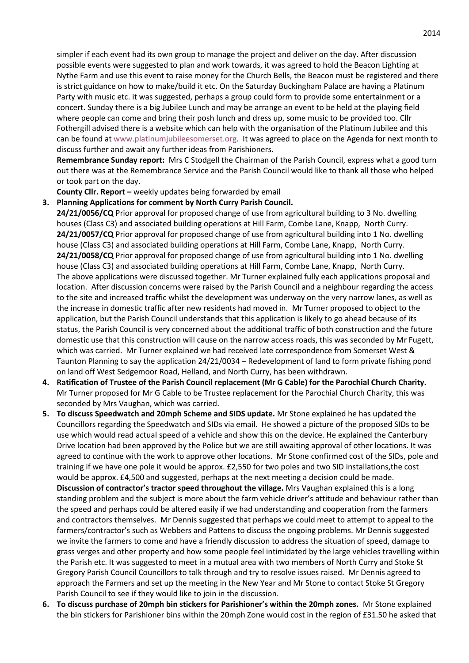simpler if each event had its own group to manage the project and deliver on the day. After discussion possible events were suggested to plan and work towards, it was agreed to hold the Beacon Lighting at Nythe Farm and use this event to raise money for the Church Bells, the Beacon must be registered and there is strict guidance on how to make/build it etc. On the Saturday Buckingham Palace are having a Platinum Party with music etc. it was suggested, perhaps a group could form to provide some entertainment or a concert. Sunday there is a big Jubilee Lunch and may be arrange an event to be held at the playing field where people can come and bring their posh lunch and dress up, some music to be provided too. Cllr Fothergill advised there is a website which can help with the organisation of the Platinum Jubilee and this can be found at [www.platinumjubileesomerset.org.](http://www.platinumjubileesomerset.org/) It was agreed to place on the Agenda for next month to discuss further and await any further ideas from Parishioners.

**Remembrance Sunday report:** Mrs C Stodgell the Chairman of the Parish Council, express what a good turn out there was at the Remembrance Service and the Parish Council would like to thank all those who helped or took part on the day.

**County Cllr. Report –** weekly updates being forwarded by email

#### **3. Planning Applications for comment by North Curry Parish Council.**

- **24/21/0056/CQ** Prior approval for proposed change of use from agricultural building to 3 No. dwelling houses (Class C3) and associated building operations at Hill Farm, Combe Lane, Knapp, North Curry. **24/21/0057/CQ** Prior approval for proposed change of use from agricultural building into 1 No. dwelling house (Class C3) and associated building operations at Hill Farm, Combe Lane, Knapp, North Curry. **24/21/0058/CQ** Prior approval for proposed change of use from agricultural building into 1 No. dwelling house (Class C3) and associated building operations at Hill Farm, Combe Lane, Knapp, North Curry. The above applications were discussed together. Mr Turner explained fully each applications proposal and location. After discussion concerns were raised by the Parish Council and a neighbour regarding the access to the site and increased traffic whilst the development was underway on the very narrow lanes, as well as the increase in domestic traffic after new residents had moved in. Mr Turner proposed to object to the application, but the Parish Council understands that this application is likely to go ahead because of its status, the Parish Council is very concerned about the additional traffic of both construction and the future domestic use that this construction will cause on the narrow access roads, this was seconded by Mr Fugett, which was carried. Mr Turner explained we had received late correspondence from Somerset West & Taunton Planning to say the application 24/21/0034 – Redevelopment of land to form private fishing pond on land off West Sedgemoor Road, Helland, and North Curry, has been withdrawn.
- **4. Ratification of Trustee of the Parish Council replacement (Mr G Cable) for the Parochial Church Charity.**  Mr Turner proposed for Mr G Cable to be Trustee replacement for the Parochial Church Charity, this was seconded by Mrs Vaughan, which was carried.
- **5. To discuss Speedwatch and 20mph Scheme and SIDS update.** Mr Stone explained he has updated the Councillors regarding the Speedwatch and SIDs via email. He showed a picture of the proposed SIDs to be use which would read actual speed of a vehicle and show this on the device. He explained the Canterbury Drive location had been approved by the Police but we are still awaiting approval of other locations. It was agreed to continue with the work to approve other locations. Mr Stone confirmed cost of the SIDs, pole and training if we have one pole it would be approx. £2,550 for two poles and two SID installations,the cost would be approx. £4,500 and suggested, perhaps at the next meeting a decision could be made. **Discussion of contractor's tractor speed throughout the village.** Mrs Vaughan explained this is a long standing problem and the subject is more about the farm vehicle driver's attitude and behaviour rather than the speed and perhaps could be altered easily if we had understanding and cooperation from the farmers and contractors themselves. Mr Dennis suggested that perhaps we could meet to attempt to appeal to the farmers/contractor's such as Webbers and Pattens to discuss the ongoing problems. Mr Dennis suggested we invite the farmers to come and have a friendly discussion to address the situation of speed, damage to grass verges and other property and how some people feel intimidated by the large vehicles travelling within the Parish etc. It was suggested to meet in a mutual area with two members of North Curry and Stoke St Gregory Parish Council Councillors to talk through and try to resolve issues raised. Mr Dennis agreed to approach the Farmers and set up the meeting in the New Year and Mr Stone to contact Stoke St Gregory Parish Council to see if they would like to join in the discussion.
- **6. To discuss purchase of 20mph bin stickers for Parishioner's within the 20mph zones.** Mr Stone explained the bin stickers for Parishioner bins within the 20mph Zone would cost in the region of £31.50 he asked that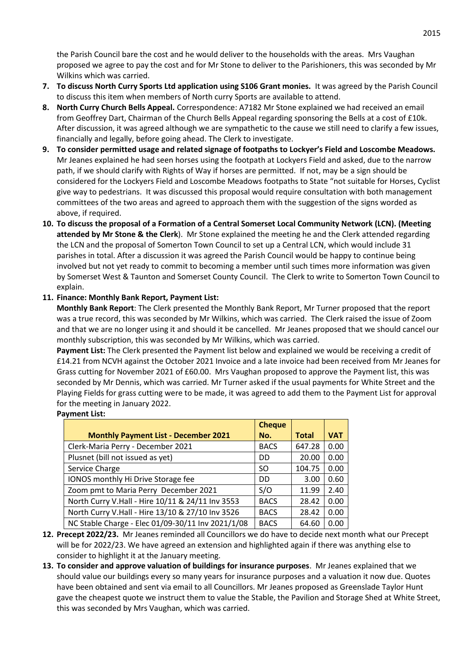the Parish Council bare the cost and he would deliver to the households with the areas. Mrs Vaughan proposed we agree to pay the cost and for Mr Stone to deliver to the Parishioners, this was seconded by Mr Wilkins which was carried.

- **7. To discuss North Curry Sports Ltd application using S106 Grant monies.** It was agreed by the Parish Council to discuss this item when members of North curry Sports are available to attend.
- **8. North Curry Church Bells Appeal.** Correspondence: A7182 Mr Stone explained we had received an email from Geoffrey Dart, Chairman of the Church Bells Appeal regarding sponsoring the Bells at a cost of £10k. After discussion, it was agreed although we are sympathetic to the cause we still need to clarify a few issues, financially and legally, before going ahead. The Clerk to investigate.
- **9. To consider permitted usage and related signage of footpaths to Lockyer's Field and Loscombe Meadows.**  Mr Jeanes explained he had seen horses using the footpath at Lockyers Field and asked, due to the narrow path, if we should clarify with Rights of Way if horses are permitted. If not, may be a sign should be considered for the Lockyers Field and Loscombe Meadows footpaths to State "not suitable for Horses, Cyclist give way to pedestrians. It was discussed this proposal would require consultation with both management committees of the two areas and agreed to approach them with the suggestion of the signs worded as above, if required.
- **10. To discuss the proposal of a Formation of a Central Somerset Local Community Network (LCN). (Meeting attended by Mr Stone & the Clerk**). Mr Stone explained the meeting he and the Clerk attended regarding the LCN and the proposal of Somerton Town Council to set up a Central LCN, which would include 31 parishes in total. After a discussion it was agreed the Parish Council would be happy to continue being involved but not yet ready to commit to becoming a member until such times more information was given by Somerset West & Taunton and Somerset County Council. The Clerk to write to Somerton Town Council to explain.

# **11. Finance: Monthly Bank Report, Payment List:**

**Monthly Bank Report**: The Clerk presented the Monthly Bank Report, Mr Turner proposed that the report was a true record, this was seconded by Mr Wilkins, which was carried. The Clerk raised the issue of Zoom and that we are no longer using it and should it be cancelled. Mr Jeanes proposed that we should cancel our monthly subscription, this was seconded by Mr Wilkins, which was carried.

**Payment List:** The Clerk presented the Payment list below and explained we would be receiving a credit of £14.21 from NCVH against the October 2021 Invoice and a late invoice had been received from Mr Jeanes for Grass cutting for November 2021 of £60.00. Mrs Vaughan proposed to approve the Payment list, this was seconded by Mr Dennis, which was carried. Mr Turner asked if the usual payments for White Street and the Playing Fields for grass cutting were to be made, it was agreed to add them to the Payment List for approval for the meeting in January 2022.

#### **Payment List:**

|                                                   | <b>Cheque</b> |              |            |
|---------------------------------------------------|---------------|--------------|------------|
| <b>Monthly Payment List - December 2021</b>       | No.           | <b>Total</b> | <b>VAT</b> |
| Clerk-Maria Perry - December 2021                 | <b>BACS</b>   | 647.28       | 0.00       |
| Plusnet (bill not issued as yet)                  | DD            | 20.00        | 0.00       |
| Service Charge                                    | SΟ            | 104.75       | 0.00       |
| IONOS monthly Hi Drive Storage fee                | DD            | 3.00         | 0.60       |
| Zoom pmt to Maria Perry December 2021             | S/O           | 11.99        | 2.40       |
| North Curry V.Hall - Hire 10/11 & 24/11 Inv 3553  | <b>BACS</b>   | 28.42        | 0.00       |
| North Curry V.Hall - Hire 13/10 & 27/10 Inv 3526  | <b>BACS</b>   | 28.42        | 0.00       |
| NC Stable Charge - Elec 01/09-30/11 Inv 2021/1/08 | <b>BACS</b>   | 64.60        | 0.00       |

- **12. Precept 2022/23.** Mr Jeanes reminded all Councillors we do have to decide next month what our Precept will be for 2022/23. We have agreed an extension and highlighted again if there was anything else to consider to highlight it at the January meeting.
- **13. To consider and approve valuation of buildings for insurance purposes**. Mr Jeanes explained that we should value our buildings every so many years for insurance purposes and a valuation it now due. Quotes have been obtained and sent via email to all Councillors. Mr Jeanes proposed as Greenslade Taylor Hunt gave the cheapest quote we instruct them to value the Stable, the Pavilion and Storage Shed at White Street, this was seconded by Mrs Vaughan, which was carried.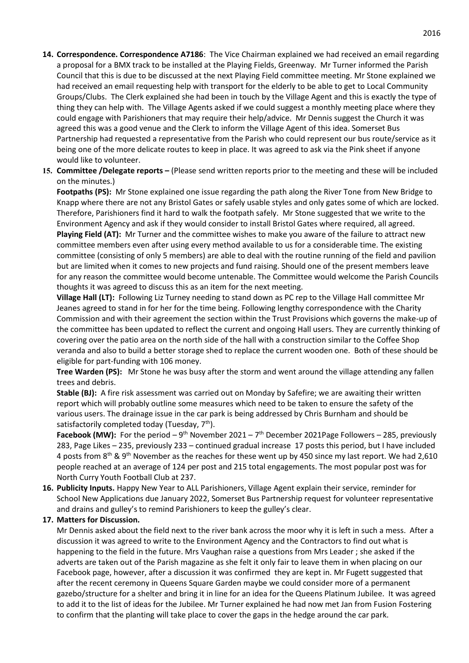- **14. Correspondence. Correspondence A7186**: The Vice Chairman explained we had received an email regarding a proposal for a BMX track to be installed at the Playing Fields, Greenway. Mr Turner informed the Parish Council that this is due to be discussed at the next Playing Field committee meeting. Mr Stone explained we had received an email requesting help with transport for the elderly to be able to get to Local Community Groups/Clubs. The Clerk explained she had been in touch by the Village Agent and this is exactly the type of thing they can help with. The Village Agents asked if we could suggest a monthly meeting place where they could engage with Parishioners that may require their help/advice. Mr Dennis suggest the Church it was agreed this was a good venue and the Clerk to inform the Village Agent of this idea. Somerset Bus Partnership had requested a representative from the Parish who could represent our bus route/service as it being one of the more delicate routes to keep in place. It was agreed to ask via the Pink sheet if anyone would like to volunteer.
- **15. Committee /Delegate reports –** (Please send written reports prior to the meeting and these will be included on the minutes.)

**Footpaths (PS):** Mr Stone explained one issue regarding the path along the River Tone from New Bridge to Knapp where there are not any Bristol Gates or safely usable styles and only gates some of which are locked. Therefore, Parishioners find it hard to walk the footpath safely. Mr Stone suggested that we write to the Environment Agency and ask if they would consider to install Bristol Gates where required, all agreed. **Playing Field (AT):** Mr Turner and the committee wishes to make you aware of the failure to attract new committee members even after using every method available to us for a considerable time. The existing committee (consisting of only 5 members) are able to deal with the routine running of the field and pavilion but are limited when it comes to new projects and fund raising. Should one of the present members leave for any reason the committee would become untenable. The Committee would welcome the Parish Councils thoughts it was agreed to discuss this as an item for the next meeting.

**Village Hall (LT):** Following Liz Turney needing to stand down as PC rep to the Village Hall committee Mr Jeanes agreed to stand in for her for the time being. Following lengthy correspondence with the Charity Commission and with their agreement the section within the Trust Provisions which governs the make-up of the committee has been updated to reflect the current and ongoing Hall users. They are currently thinking of covering over the patio area on the north side of the hall with a construction similar to the Coffee Shop veranda and also to build a better storage shed to replace the current wooden one. Both of these should be eligible for part-funding with 106 money.

**Tree Warden (PS):** Mr Stone he was busy after the storm and went around the village attending any fallen trees and debris.

**Stable (BJ):** A fire risk assessment was carried out on Monday by Safefire; we are awaiting their written report which will probably outline some measures which need to be taken to ensure the safety of the various users. The drainage issue in the car park is being addressed by Chris Burnham and should be satisfactorily completed today (Tuesday,  $7<sup>th</sup>$ ).

**Facebook (MW):** For the period  $-9$ <sup>th</sup> November 2021 – 7<sup>th</sup> December 2021Page Followers – 285, previously 283, Page Likes – 235, previously 233 – continued gradual increase 17 posts this period, but I have included 4 posts from 8<sup>th</sup> & 9<sup>th</sup> November as the reaches for these went up by 450 since my last report. We had 2,610 people reached at an average of 124 per post and 215 total engagements. The most popular post was for North Curry Youth Football Club at 237.

**16. Publicity Inputs.** Happy New Year to ALL Parishioners, Village Agent explain their service, reminder for School New Applications due January 2022, Somerset Bus Partnership request for volunteer representative and drains and gulley's to remind Parishioners to keep the gulley's clear.

#### **17. Matters for Discussion.**

Mr Dennis asked about the field next to the river bank across the moor why it is left in such a mess. After a discussion it was agreed to write to the Environment Agency and the Contractors to find out what is happening to the field in the future. Mrs Vaughan raise a questions from Mrs Leader ; she asked if the adverts are taken out of the Parish magazine as she felt it only fair to leave them in when placing on our Facebook page, however, after a discussion it was confirmed they are kept in. Mr Fugett suggested that after the recent ceremony in Queens Square Garden maybe we could consider more of a permanent gazebo/structure for a shelter and bring it in line for an idea for the Queens Platinum Jubilee. It was agreed to add it to the list of ideas for the Jubilee. Mr Turner explained he had now met Jan from Fusion Fostering to confirm that the planting will take place to cover the gaps in the hedge around the car park.